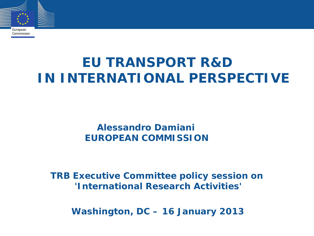

**EU TRANSPORT R&D IN INTERNATIONAL PERSPECTIVE**

> **Alessandro Damiani EUROPEAN COMMISSION**

**TRB Executive Committee policy session on 'International Research Activities'**

 **Washington, DC – 16 January 2013**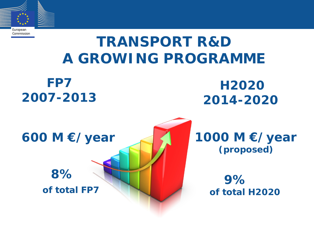

# **TRANSPORT R&D A GROWING PROGRAMME**

 **FP7 2007-2013**

### **H2020 2014-2020**



# **8%**

 **of total FP7**

**1000 M €/year (proposed)**

 **9% of total H2020**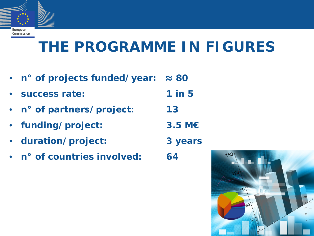

#### Commission

# **THE PROGRAMME IN FIGURES**

- **n° of projects funded/year: ≈ 80**
- **success rate: 1 in 5**
- **n° of partners/project: 13**
- **funding/project: 3.5 M€**
- **duration/project: 3 years**
- **n° of countries involved: 64**

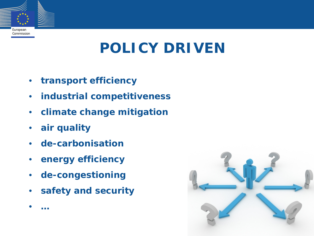

# **POLICY DRIVEN**

- **transport efficiency**
- **industrial competitiveness**
- **climate change mitigation**
- **air quality**

• **…**

- **de-carbonisation**
- **energy efficiency**
- **de-congestioning**
- **safety and security**

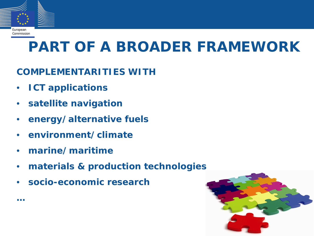

#### Commission

**…**

# **PART OF A BROADER FRAMEWORK**

#### **COMPLEMENTARITIES WITH**

- **ICT applications**
- **satellite navigation**
- **energy/alternative fuels**
- **environment/climate**
- **marine/maritime**
- **materials & production technologies**
- **socio-economic research**

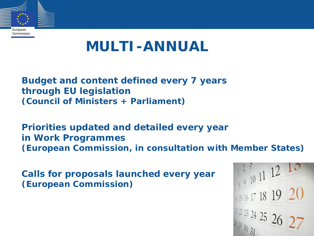

### **MULTI-ANNUAL**

**Budget and content defined every 7 years through EU legislation (Council of Ministers + Parliament)**

**Priorities updated and detailed every year in Work Programmes (European Commission, in consultation with Member States)**

**Calls for proposals launched every year (European Commission)**

 $\frac{122}{910}$  11 12 10 15 16 17 18 19 20  $\frac{12232425}{25}$  26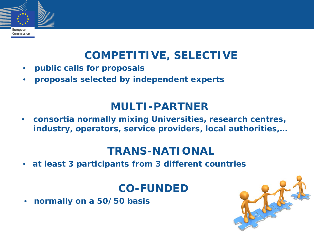# European Commission

### **COMPETITIVE, SELECTIVE**

- **public calls for proposals**
- **proposals selected by independent experts**

### **MULTI-PARTNER**

• **consortia normally mixing Universities, research centres, industry, operators, service providers, local authorities,…**

#### **TRANS-NATIONAL**

• **at least 3 participants from 3 different countries**

#### **CO-FUNDED**

• **normally on a 50/50 basis**

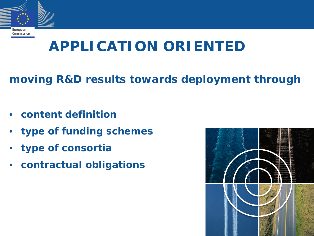

# **APPLICATION ORIENTED**

### **moving R&D results towards deployment through**

- **content definition**
- **type of funding schemes**
- **type of consortia**
- **contractual obligations**

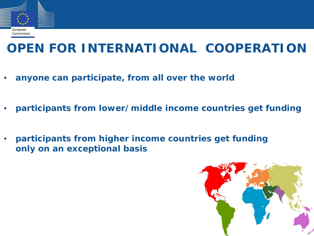

### **OPEN FOR INTERNATIONAL COOPERATION**

- **anyone can participate, from all over the world**
- **participants from lower/middle income countries get funding**
- **participants from higher income countries get funding only on an exceptional basis**

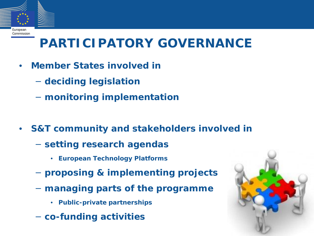

## **PARTICIPATORY GOVERNANCE**

- **Member States involved in**
	- − **deciding legislation**
	- − **monitoring implementation**
- **S&T community and stakeholders involved in**
	- − **setting research agendas**
		- **European Technology Platforms**
	- − **proposing & implementing projects**
	- − **managing parts of the programme**
		- **Public-private partnerships**
	- − **co-funding activities**

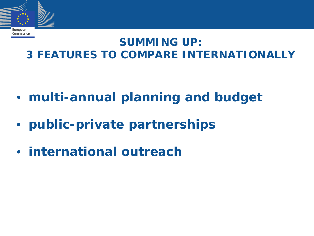

#### **SUMMING UP: 3 FEATURES TO COMPARE INTERNATIONALLY**

- **multi-annual planning and budget**
- **public-private partnerships**
- **international outreach**